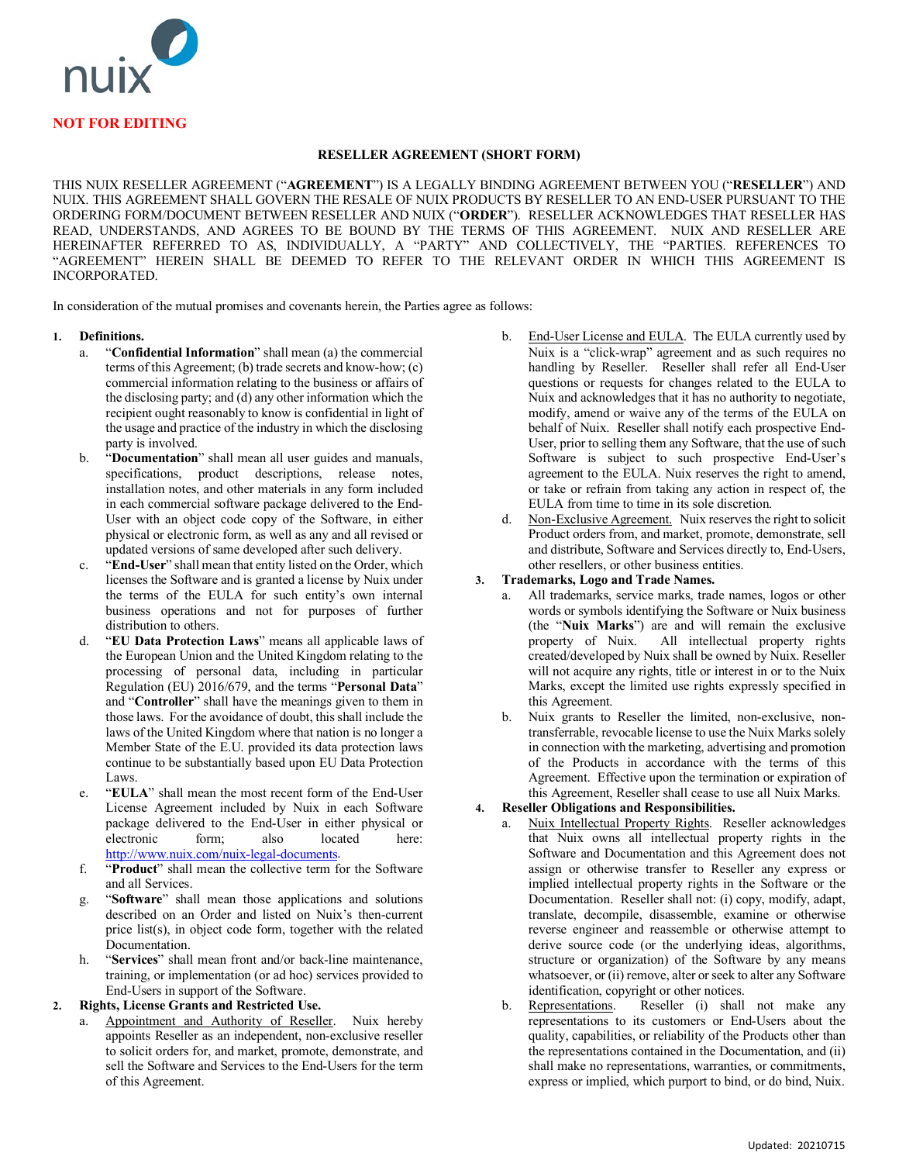

### **RESELLER AGREEMENT (SHORT FORM)**

THIS NUIX RESELLER AGREEMENT ("**AGREEMENT**") IS A LEGALLY BINDING AGREEMENT BETWEEN YOU ("**RESELLER**") AND NUIX. THIS AGREEMENT SHALL GOVERN THE RESALE OF NUIX PRODUCTS BY RESELLER TO AN END-USER PURSUANT TO THE ORDERING FORM/DOCUMENT BETWEEN RESELLER AND NUIX ("**ORDER**"). RESELLER ACKNOWLEDGES THAT RESELLER HAS READ, UNDERSTANDS, AND AGREES TO BE BOUND BY THE TERMS OF THIS AGREEMENT. NUIX AND RESELLER ARE HEREINAFTER REFERRED TO AS, INDIVIDUALLY, A "PARTY" AND COLLECTIVELY, THE "PARTIES. REFERENCES TO "AGREEMENT" HEREIN SHALL BE DEEMED TO REFER TO THE RELEVANT ORDER IN WHICH THIS AGREEMENT IS INCORPORATED.

In consideration of the mutual promises and covenants herein, the Parties agree as follows:

### **1. Definitions.**

- a. "**Confidential Information**" shall mean (a) the commercial terms of this Agreement; (b) trade secrets and know-how; (c) commercial information relating to the business or affairs of the disclosing party; and (d) any other information which the recipient ought reasonably to know is confidential in light of the usage and practice of the industry in which the disclosing party is involved.
- b. "**Documentation**" shall mean all user guides and manuals, specifications, product descriptions, release notes, installation notes, and other materials in any form included in each commercial software package delivered to the End-User with an object code copy of the Software, in either physical or electronic form, as well as any and all revised or updated versions of same developed after such delivery.
- "End-User" shall mean that entity listed on the Order, which licenses the Software and is granted a license by Nuix under the terms of the EULA for such entity's own internal business operations and not for purposes of further distribution to others.
- d. "**EU Data Protection Laws**" means all applicable laws of the European Union and the United Kingdom relating to the processing of personal data, including in particular Regulation (EU) 2016/679, and the terms "**Personal Data**" and "**Controller**" shall have the meanings given to them in those laws. For the avoidance of doubt, this shall include the laws of the United Kingdom where that nation is no longer a Member State of the E.U. provided its data protection laws continue to be substantially based upon EU Data Protection Laws.
- e. "**EULA**" shall mean the most recent form of the End-User License Agreement included by Nuix in each Software package delivered to the End-User in either physical or electronic [http://www.nuix.com/nuix-legal-documents.](http://www.nuix.com/nuix-legal-documents)
- f. "**Product**" shall mean the collective term for the Software and all Services.
- g. "**Software**" shall mean those applications and solutions described on an Order and listed on Nuix's then-current price list(s), in object code form, together with the related Documentation.
- h. "**Services**" shall mean front and/or back-line maintenance, training, or implementation (or ad hoc) services provided to End-Users in support of the Software.

### **2. Rights, License Grants and Restricted Use.**

Appointment and Authority of Reseller. Nuix hereby appoints Reseller as an independent, non-exclusive reseller to solicit orders for, and market, promote, demonstrate, and sell the Software and Services to the End-Users for the term of this Agreement.

- b. End-User License and EULA. The EULA currently used by Nuix is a "click-wrap" agreement and as such requires no handling by Reseller. Reseller shall refer all End-User questions or requests for changes related to the EULA to Nuix and acknowledges that it has no authority to negotiate, modify, amend or waive any of the terms of the EULA on behalf of Nuix. Reseller shall notify each prospective End-User, prior to selling them any Software, that the use of such Software is subject to such prospective End-User's agreement to the EULA. Nuix reserves the right to amend, or take or refrain from taking any action in respect of, the EULA from time to time in its sole discretion.
- d. Non-Exclusive Agreement. Nuix reserves the right to solicit Product orders from, and market, promote, demonstrate, sell and distribute, Software and Services directly to, End-Users, other resellers, or other business entities.

### **3. Trademarks, Logo and Trade Names.**

- a. All trademarks, service marks, trade names, logos or other words or symbols identifying the Software or Nuix business (the "**Nuix Marks**") are and will remain the exclusive property of Nuix. All intellectual property rights All intellectual property rights created/developed by Nuix shall be owned by Nuix. Reseller will not acquire any rights, title or interest in or to the Nuix Marks, except the limited use rights expressly specified in this Agreement.
- b. Nuix grants to Reseller the limited, non-exclusive, nontransferrable, revocable license to use the Nuix Marks solely in connection with the marketing, advertising and promotion of the Products in accordance with the terms of this Agreement. Effective upon the termination or expiration of this Agreement, Reseller shall cease to use all Nuix Marks.

# **4. Reseller Obligations and Responsibilities.**

- a. Nuix Intellectual Property Rights. Reseller acknowledges that Nuix owns all intellectual property rights in the Software and Documentation and this Agreement does not assign or otherwise transfer to Reseller any express or implied intellectual property rights in the Software or the Documentation. Reseller shall not: (i) copy, modify, adapt, translate, decompile, disassemble, examine or otherwise reverse engineer and reassemble or otherwise attempt to derive source code (or the underlying ideas, algorithms, structure or organization) of the Software by any means whatsoever, or (ii) remove, alter or seek to alter any Software identification, copyright or other notices.<br>Representations. Reseller (i) shall
- b. Representations. Reseller (i) shall not make any representations to its customers or End-Users about the quality, capabilities, or reliability of the Products other than the representations contained in the Documentation, and (ii) shall make no representations, warranties, or commitments, express or implied, which purport to bind, or do bind, Nuix.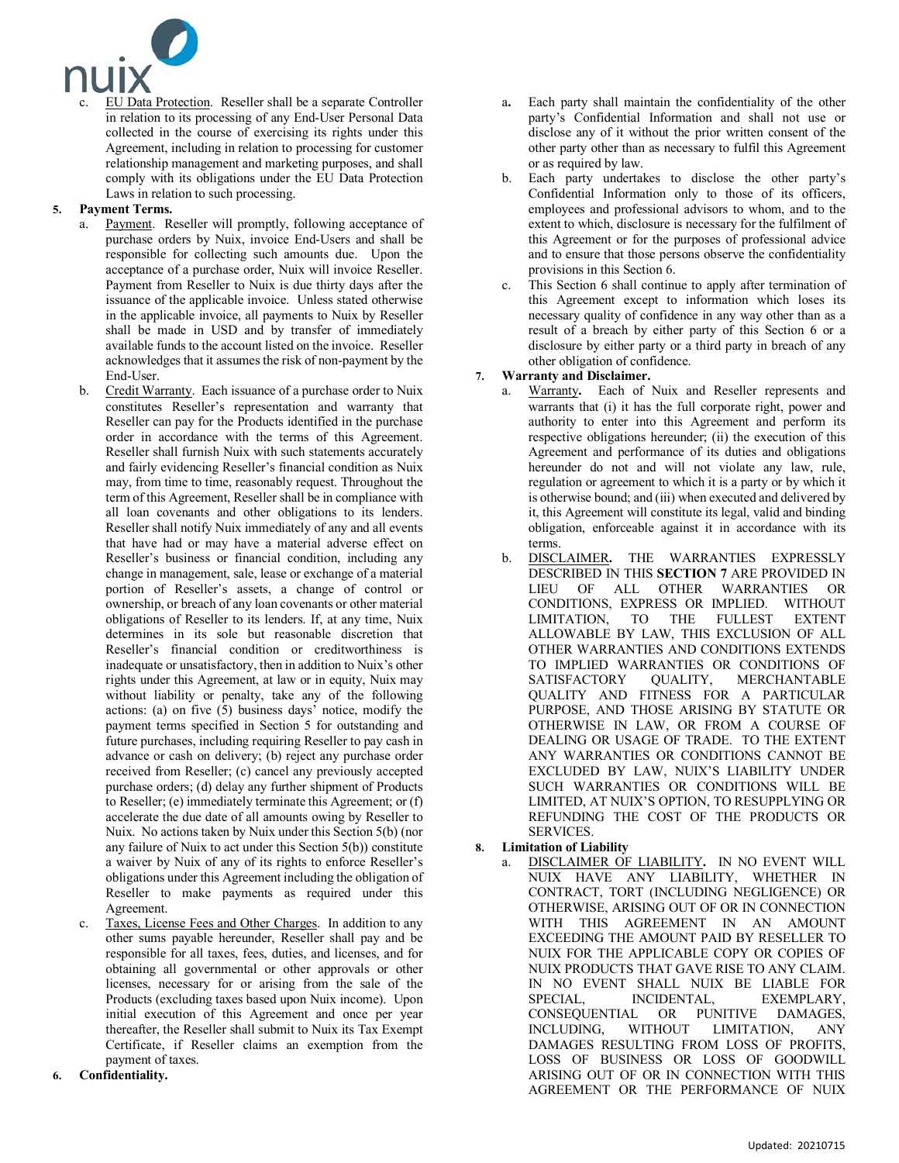

EU Data Protection. Reseller shall be a separate Controller in relation to its processing of any End-User Personal Data collected in the course of exercising its rights under this Agreement, including in relation to processing for customer relationship management and marketing purposes, and shall comply with its obligations under the EU Data Protection Laws in relation to such processing.

# **5. Payment Terms.**

- a. Payment. Reseller will promptly, following acceptance of purchase orders by Nuix, invoice End-Users and shall be responsible for collecting such amounts due. Upon the acceptance of a purchase order, Nuix will invoice Reseller. Payment from Reseller to Nuix is due thirty days after the issuance of the applicable invoice. Unless stated otherwise in the applicable invoice, all payments to Nuix by Reseller shall be made in USD and by transfer of immediately available funds to the account listed on the invoice. Reseller acknowledges that it assumes the risk of non-payment by the End-User.
- b. Credit Warranty. Each issuance of a purchase order to Nuix constitutes Reseller's representation and warranty that Reseller can pay for the Products identified in the purchase order in accordance with the terms of this Agreement. Reseller shall furnish Nuix with such statements accurately and fairly evidencing Reseller's financial condition as Nuix may, from time to time, reasonably request. Throughout the term of this Agreement, Reseller shall be in compliance with all loan covenants and other obligations to its lenders. Reseller shall notify Nuix immediately of any and all events that have had or may have a material adverse effect on Reseller's business or financial condition, including any change in management, sale, lease or exchange of a material portion of Reseller's assets, a change of control or ownership, or breach of any loan covenants or other material obligations of Reseller to its lenders. If, at any time, Nuix determines in its sole but reasonable discretion that Reseller's financial condition or creditworthiness is inadequate or unsatisfactory, then in addition to Nuix's other rights under this Agreement, at law or in equity, Nuix may without liability or penalty, take any of the following actions: (a) on five (5) business days' notice, modify the payment terms specified in Section 5 for outstanding and future purchases, including requiring Reseller to pay cash in advance or cash on delivery; (b) reject any purchase order received from Reseller; (c) cancel any previously accepted purchase orders; (d) delay any further shipment of Products to Reseller; (e) immediately terminate this Agreement; or (f) accelerate the due date of all amounts owing by Reseller to Nuix. No actions taken by Nuix under this Section 5(b) (nor any failure of Nuix to act under this Section 5(b)) constitute a waiver by Nuix of any of its rights to enforce Reseller's obligations under this Agreement including the obligation of Reseller to make payments as required under this Agreement.
- Taxes, License Fees and Other Charges. In addition to any other sums payable hereunder, Reseller shall pay and be responsible for all taxes, fees, duties, and licenses, and for obtaining all governmental or other approvals or other licenses, necessary for or arising from the sale of the Products (excluding taxes based upon Nuix income). Upon initial execution of this Agreement and once per year thereafter, the Reseller shall submit to Nuix its Tax Exempt Certificate, if Reseller claims an exemption from the payment of taxes.
- **6. Confidentiality.**
- a**.** Each party shall maintain the confidentiality of the other party's Confidential Information and shall not use or disclose any of it without the prior written consent of the other party other than as necessary to fulfil this Agreement or as required by law.
- b. Each party undertakes to disclose the other party's Confidential Information only to those of its officers, employees and professional advisors to whom, and to the extent to which, disclosure is necessary for the fulfilment of this Agreement or for the purposes of professional advice and to ensure that those persons observe the confidentiality provisions in this Section 6.
- This Section 6 shall continue to apply after termination of this Agreement except to information which loses its necessary quality of confidence in any way other than as a result of a breach by either party of this Section 6 or a disclosure by either party or a third party in breach of any other obligation of confidence.

# **7. Warranty and Disclaimer.**

- a. Warranty**.** Each of Nuix and Reseller represents and warrants that (i) it has the full corporate right, power and authority to enter into this Agreement and perform its respective obligations hereunder; (ii) the execution of this Agreement and performance of its duties and obligations hereunder do not and will not violate any law, rule, regulation or agreement to which it is a party or by which it is otherwise bound; and (iii) when executed and delivered by it, this Agreement will constitute its legal, valid and binding obligation, enforceable against it in accordance with its terms.<br>DISCLAIMER.
- b. DISCLAIMER**.** THE WARRANTIES EXPRESSLY DESCRIBED IN THIS **SECTION 7** ARE PROVIDED IN LIEU OF ALL OTHER WARRANTIES OR CONDITIONS, EXPRESS OR IMPLIED. WITHOUT LIMITATION, TO THE FULLEST EXTENT ALLOWABLE BY LAW, THIS EXCLUSION OF ALL OTHER WARRANTIES AND CONDITIONS EXTENDS TO IMPLIED WARRANTIES OR CONDITIONS OF SATISFACTORY QUALITY, MERCHANTABLE QUALITY AND FITNESS FOR A PARTICULAR PURPOSE, AND THOSE ARISING BY STATUTE OR OTHERWISE IN LAW, OR FROM A COURSE OF DEALING OR USAGE OF TRADE. TO THE EXTENT ANY WARRANTIES OR CONDITIONS CANNOT BE EXCLUDED BY LAW, NUIX'S LIABILITY UNDER SUCH WARRANTIES OR CONDITIONS WILL BE LIMITED, AT NUIX'S OPTION, TO RESUPPLYING OR REFUNDING THE COST OF THE PRODUCTS OR SERVICES.

# **8. Limitation of Liability**

a. DISCLAIMER OF LIABILITY**.** IN NO EVENT WILL NUIX HAVE ANY LIABILITY, WHETHER IN CONTRACT, TORT (INCLUDING NEGLIGENCE) OR OTHERWISE, ARISING OUT OF OR IN CONNECTION WITH THIS AGREEMENT IN AN AMOUNT EXCEEDING THE AMOUNT PAID BY RESELLER TO NUIX FOR THE APPLICABLE COPY OR COPIES OF NUIX PRODUCTS THAT GAVE RISE TO ANY CLAIM. IN NO EVENT SHALL NUIX BE LIABLE FOR SPECIAL, INCIDENTAL, EXEMPLARY, CONSEQUENTIAL OR PUNITIVE DAMAGES, INCLUDING, WITHOUT LIMITATION, ANY DAMAGES RESULTING FROM LOSS OF PROFITS, LOSS OF BUSINESS OR LOSS OF GOODWILL ARISING OUT OF OR IN CONNECTION WITH THIS AGREEMENT OR THE PERFORMANCE OF NUIX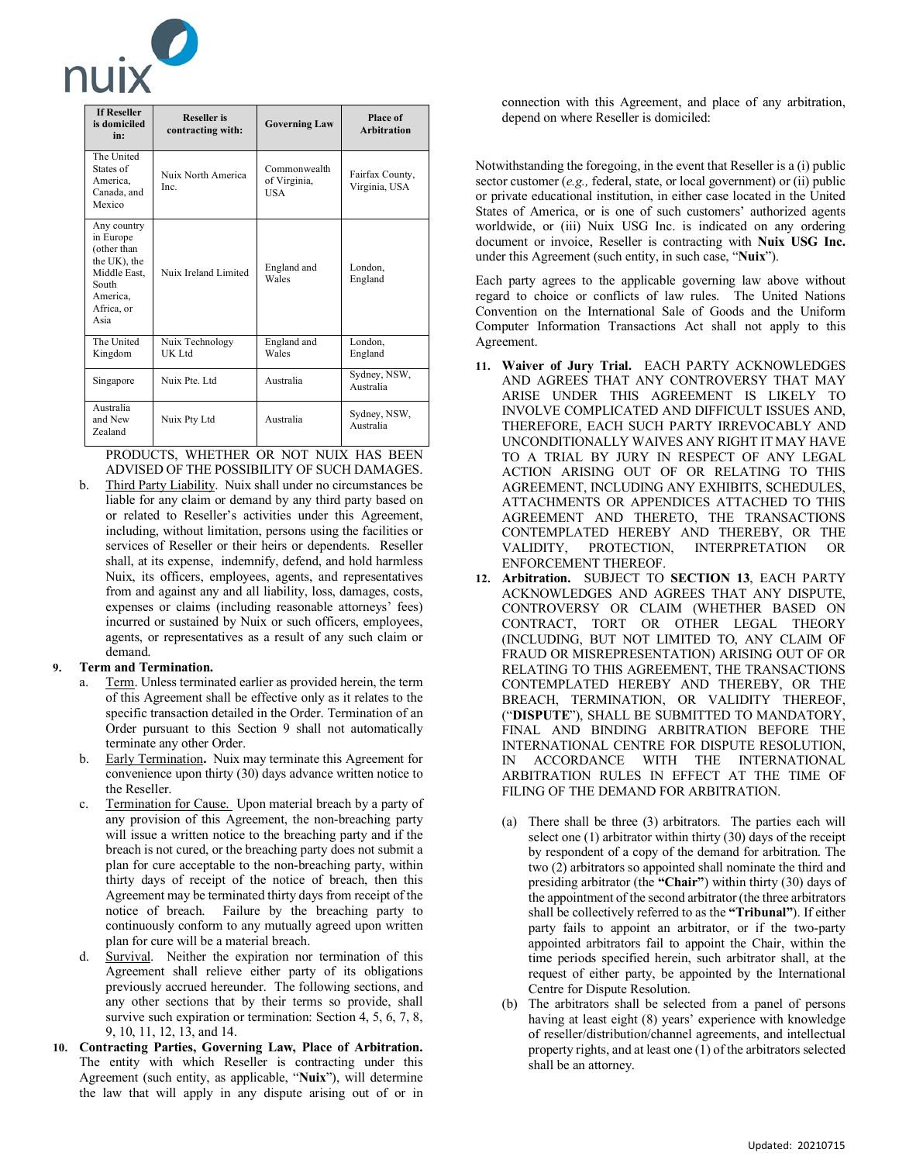

| <b>If Reseller</b><br>is domiciled<br>in:                                                                          | <b>Reseller</b> is<br>contracting with: | <b>Governing Law</b>                | Place of<br><b>Arbitration</b>   |
|--------------------------------------------------------------------------------------------------------------------|-----------------------------------------|-------------------------------------|----------------------------------|
| The United<br>States of<br>America.<br>Canada, and<br>Mexico                                                       | Nuix North America<br>Inc.              | Commonwealth<br>of Virginia,<br>USA | Fairfax County,<br>Virginia, USA |
| Any country<br>in Europe<br>(other than<br>the UK), the<br>Middle East.<br>South<br>America,<br>Africa, or<br>Asia | Nuix Ireland Limited                    | England and<br>Wales                | London,<br>England               |
| The United<br>Kingdom                                                                                              | Nuix Technology<br><b>UK Ltd</b>        | England and<br>Wales                | London,<br>England               |
| Singapore                                                                                                          | Nuix Pte. Ltd                           | Australia                           | Sydney, NSW,<br>Australia        |
| Australia<br>and New<br>Zealand                                                                                    | Nuix Pty Ltd                            | Australia                           | Sydney, NSW,<br>Australia        |

PRODUCTS, WHETHER OR NOT NUIX HAS BEEN ADVISED OF THE POSSIBILITY OF SUCH DAMAGES.

b. Third Party Liability. Nuix shall under no circumstances be liable for any claim or demand by any third party based on or related to Reseller's activities under this Agreement, including, without limitation, persons using the facilities or services of Reseller or their heirs or dependents. Reseller shall, at its expense, indemnify, defend, and hold harmless Nuix, its officers, employees, agents, and representatives from and against any and all liability, loss, damages, costs, expenses or claims (including reasonable attorneys' fees) incurred or sustained by Nuix or such officers, employees, agents, or representatives as a result of any such claim or demand.

### **9. Term and Termination.**

- a. Term. Unless terminated earlier as provided herein, the term of this Agreement shall be effective only as it relates to the specific transaction detailed in the Order. Termination of an Order pursuant to this Section 9 shall not automatically terminate any other Order.
- b. Early Termination**.** Nuix may terminate this Agreement for convenience upon thirty (30) days advance written notice to the Reseller.
- c. Termination for Cause. Upon material breach by a party of any provision of this Agreement, the non-breaching party will issue a written notice to the breaching party and if the breach is not cured, or the breaching party does not submit a plan for cure acceptable to the non-breaching party, within thirty days of receipt of the notice of breach, then this Agreement may be terminated thirty days from receipt of the notice of breach. Failure by the breaching party to continuously conform to any mutually agreed upon written plan for cure will be a material breach.
- d. Survival. Neither the expiration nor termination of this Agreement shall relieve either party of its obligations previously accrued hereunder. The following sections, and any other sections that by their terms so provide, shall survive such expiration or termination: Section 4, 5, 6, 7, 8, 9, 10, 11, 12, 13, and 14.
- **10. Contracting Parties, Governing Law, Place of Arbitration.** The entity with which Reseller is contracting under this Agreement (such entity, as applicable, "**Nuix**"), will determine the law that will apply in any dispute arising out of or in

connection with this Agreement, and place of any arbitration, depend on where Reseller is domiciled:

Notwithstanding the foregoing, in the event that Reseller is a (i) public sector customer (*e.g.,* federal, state, or local government) or (ii) public or private educational institution, in either case located in the United States of America, or is one of such customers' authorized agents worldwide, or (iii) Nuix USG Inc. is indicated on any ordering document or invoice, Reseller is contracting with **Nuix USG Inc.** under this Agreement (such entity, in such case, "**Nuix**").

Each party agrees to the applicable governing law above without regard to choice or conflicts of law rules. The United Nations Convention on the International Sale of Goods and the Uniform Computer Information Transactions Act shall not apply to this Agreement.

- **11. Waiver of Jury Trial.** EACH PARTY ACKNOWLEDGES AND AGREES THAT ANY CONTROVERSY THAT MAY ARISE UNDER THIS AGREEMENT IS LIKELY TO INVOLVE COMPLICATED AND DIFFICULT ISSUES AND, THEREFORE, EACH SUCH PARTY IRREVOCABLY AND UNCONDITIONALLY WAIVES ANY RIGHT IT MAY HAVE TO A TRIAL BY JURY IN RESPECT OF ANY LEGAL ACTION ARISING OUT OF OR RELATING TO THIS AGREEMENT, INCLUDING ANY EXHIBITS, SCHEDULES, ATTACHMENTS OR APPENDICES ATTACHED TO THIS AGREEMENT AND THERETO, THE TRANSACTIONS CONTEMPLATED HEREBY AND THEREBY, OR THE VALIDITY. PROTECTION. INTERPRETATION OR VALIDITY, PROTECTION, INTERPRETATION OR ENFORCEMENT THEREOF.
- **12. Arbitration.** SUBJECT TO **SECTION 13**, EACH PARTY ACKNOWLEDGES AND AGREES THAT ANY DISPUTE, CONTROVERSY OR CLAIM (WHETHER BASED ON CONTRACT, TORT OR OTHER LEGAL THEORY (INCLUDING, BUT NOT LIMITED TO, ANY CLAIM OF FRAUD OR MISREPRESENTATION) ARISING OUT OF OR RELATING TO THIS AGREEMENT, THE TRANSACTIONS CONTEMPLATED HEREBY AND THEREBY, OR THE BREACH, TERMINATION, OR VALIDITY THEREOF, ("**DISPUTE**"), SHALL BE SUBMITTED TO MANDATORY, FINAL AND BINDING ARBITRATION BEFORE THE INTERNATIONAL CENTRE FOR DISPUTE RESOLUTION, IN ACCORDANCE WITH THE INTERNATIONAL ARBITRATION RULES IN EFFECT AT THE TIME OF FILING OF THE DEMAND FOR ARBITRATION.
	- (a) There shall be three (3) arbitrators. The parties each will select one (1) arbitrator within thirty (30) days of the receipt by respondent of a copy of the demand for arbitration. The two (2) arbitrators so appointed shall nominate the third and presiding arbitrator (the **"Chair"**) within thirty (30) days of the appointment of the second arbitrator (the three arbitrators shall be collectively referred to as the **"Tribunal"**). If either party fails to appoint an arbitrator, or if the two-party appointed arbitrators fail to appoint the Chair, within the time periods specified herein, such arbitrator shall, at the request of either party, be appointed by the International Centre for Dispute Resolution.
	- (b) The arbitrators shall be selected from a panel of persons having at least eight (8) years' experience with knowledge of reseller/distribution/channel agreements, and intellectual property rights, and at least one (1) of the arbitrators selected shall be an attorney.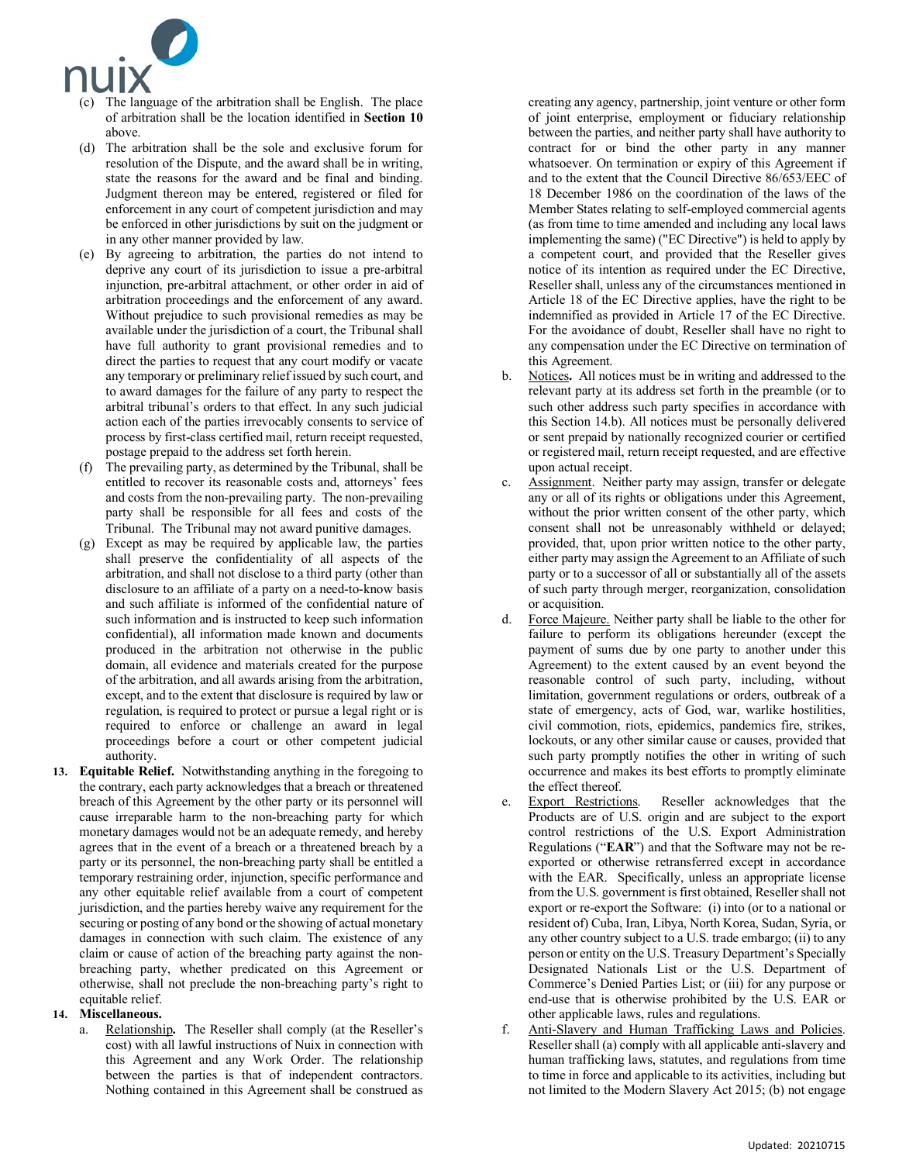

- (c) The language of the arbitration shall be English. The place of arbitration shall be the location identified in **Section 10** above.
- (d) The arbitration shall be the sole and exclusive forum for resolution of the Dispute, and the award shall be in writing, state the reasons for the award and be final and binding. Judgment thereon may be entered, registered or filed for enforcement in any court of competent jurisdiction and may be enforced in other jurisdictions by suit on the judgment or in any other manner provided by law.
- (e) By agreeing to arbitration, the parties do not intend to deprive any court of its jurisdiction to issue a pre-arbitral injunction, pre-arbitral attachment, or other order in aid of arbitration proceedings and the enforcement of any award. Without prejudice to such provisional remedies as may be available under the jurisdiction of a court, the Tribunal shall have full authority to grant provisional remedies and to direct the parties to request that any court modify or vacate any temporary or preliminary relief issued by such court, and to award damages for the failure of any party to respect the arbitral tribunal's orders to that effect. In any such judicial action each of the parties irrevocably consents to service of process by first-class certified mail, return receipt requested, postage prepaid to the address set forth herein.
- (f) The prevailing party, as determined by the Tribunal, shall be entitled to recover its reasonable costs and, attorneys' fees and costs from the non-prevailing party. The non-prevailing party shall be responsible for all fees and costs of the Tribunal. The Tribunal may not award punitive damages.
- (g) Except as may be required by applicable law, the parties shall preserve the confidentiality of all aspects of the arbitration, and shall not disclose to a third party (other than disclosure to an affiliate of a party on a need-to-know basis and such affiliate is informed of the confidential nature of such information and is instructed to keep such information confidential), all information made known and documents produced in the arbitration not otherwise in the public domain, all evidence and materials created for the purpose of the arbitration, and all awards arising from the arbitration, except, and to the extent that disclosure is required by law or regulation, is required to protect or pursue a legal right or is required to enforce or challenge an award in legal proceedings before a court or other competent judicial authority.
- **13. Equitable Relief.** Notwithstanding anything in the foregoing to the contrary, each party acknowledges that a breach or threatened breach of this Agreement by the other party or its personnel will cause irreparable harm to the non-breaching party for which monetary damages would not be an adequate remedy, and hereby agrees that in the event of a breach or a threatened breach by a party or its personnel, the non-breaching party shall be entitled a temporary restraining order, injunction, specific performance and any other equitable relief available from a court of competent jurisdiction, and the parties hereby waive any requirement for the securing or posting of any bond or the showing of actual monetary damages in connection with such claim. The existence of any claim or cause of action of the breaching party against the nonbreaching party, whether predicated on this Agreement or otherwise, shall not preclude the non-breaching party's right to equitable relief.

### **14. Miscellaneous.**

a. Relationship**.** The Reseller shall comply (at the Reseller's cost) with all lawful instructions of Nuix in connection with this Agreement and any Work Order. The relationship between the parties is that of independent contractors. Nothing contained in this Agreement shall be construed as creating any agency, partnership, joint venture or other form of joint enterprise, employment or fiduciary relationship between the parties, and neither party shall have authority to contract for or bind the other party in any manner whatsoever. On termination or expiry of this Agreement if and to the extent that the Council Directive 86/653/EEC of 18 December 1986 on the coordination of the laws of the Member States relating to self-employed commercial agents (as from time to time amended and including any local laws implementing the same) ("EC Directive") is held to apply by a competent court, and provided that the Reseller gives notice of its intention as required under the EC Directive, Reseller shall, unless any of the circumstances mentioned in Article 18 of the EC Directive applies, have the right to be indemnified as provided in Article 17 of the EC Directive. For the avoidance of doubt, Reseller shall have no right to any compensation under the EC Directive on termination of this Agreement.

- b. Notices**.** All notices must be in writing and addressed to the relevant party at its address set forth in the preamble (or to such other address such party specifies in accordance with this Section 14.b). All notices must be personally delivered or sent prepaid by nationally recognized courier or certified or registered mail, return receipt requested, and are effective upon actual receipt.
- c. Assignment. Neither party may assign, transfer or delegate any or all of its rights or obligations under this Agreement, without the prior written consent of the other party, which consent shall not be unreasonably withheld or delayed; provided, that, upon prior written notice to the other party, either party may assign the Agreement to an Affiliate of such party or to a successor of all or substantially all of the assets of such party through merger, reorganization, consolidation or acquisition.
- d. Force Majeure. Neither party shall be liable to the other for failure to perform its obligations hereunder (except the payment of sums due by one party to another under this Agreement) to the extent caused by an event beyond the reasonable control of such party, including, without limitation, government regulations or orders, outbreak of a state of emergency, acts of God, war, warlike hostilities, civil commotion, riots, epidemics, pandemics fire, strikes, lockouts, or any other similar cause or causes, provided that such party promptly notifies the other in writing of such occurrence and makes its best efforts to promptly eliminate the effect thereof.
- Export Restrictions. Reseller acknowledges that the Products are of U.S. origin and are subject to the export control restrictions of the U.S. Export Administration Regulations ("**EAR**") and that the Software may not be reexported or otherwise retransferred except in accordance with the EAR. Specifically, unless an appropriate license from the U.S. government is first obtained, Reseller shall not export or re-export the Software: (i) into (or to a national or resident of) Cuba, Iran, Libya, North Korea, Sudan, Syria, or any other country subject to a U.S. trade embargo; (ii) to any person or entity on the U.S. Treasury Department's Specially Designated Nationals List or the U.S. Department of Commerce's Denied Parties List; or (iii) for any purpose or end-use that is otherwise prohibited by the U.S. EAR or other applicable laws, rules and regulations.
- f. Anti-Slavery and Human Trafficking Laws and Policies. Reseller shall (a) comply with all applicable anti-slavery and human trafficking laws, statutes, and regulations from time to time in force and applicable to its activities, including but not limited to the Modern Slavery Act 2015; (b) not engage